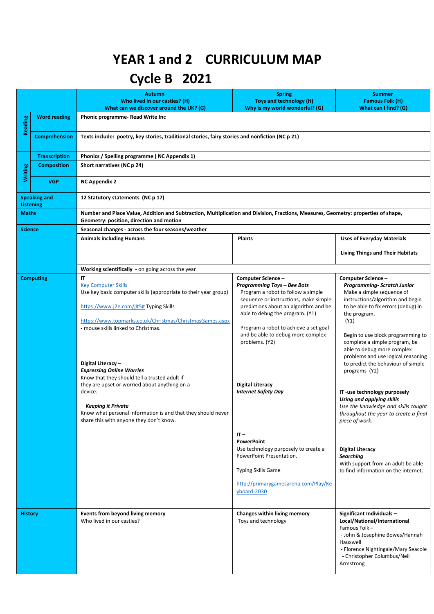## **YEAR 1 and 2 CURRICULUM MAP**

## **Cycle B 2021**

|                                         |                      | <b>Autumn</b><br>Who lived in our castles? (H)<br>What can we discover around the UK? (G)                                                                                                                                                                                                                                                                                                                                                                                                                                                                        | <b>Spring</b><br><b>Toys and technology (H)</b><br>Why is my world wonderful? (G)                                                                                                                                                                                                                                                                                                                           | <b>Summer</b><br><b>Famous Folk (H)</b><br>What can I find? (G)                                                                                                                                                                                                                                                                                                                                                                                                                                                                                         |  |  |
|-----------------------------------------|----------------------|------------------------------------------------------------------------------------------------------------------------------------------------------------------------------------------------------------------------------------------------------------------------------------------------------------------------------------------------------------------------------------------------------------------------------------------------------------------------------------------------------------------------------------------------------------------|-------------------------------------------------------------------------------------------------------------------------------------------------------------------------------------------------------------------------------------------------------------------------------------------------------------------------------------------------------------------------------------------------------------|---------------------------------------------------------------------------------------------------------------------------------------------------------------------------------------------------------------------------------------------------------------------------------------------------------------------------------------------------------------------------------------------------------------------------------------------------------------------------------------------------------------------------------------------------------|--|--|
| Reading                                 | <b>Word reading</b>  | Phonic programme-Read Write Inc                                                                                                                                                                                                                                                                                                                                                                                                                                                                                                                                  |                                                                                                                                                                                                                                                                                                                                                                                                             |                                                                                                                                                                                                                                                                                                                                                                                                                                                                                                                                                         |  |  |
|                                         | <b>Comprehension</b> | Texts include: poetry, key stories, traditional stories, fairy stories and nonfiction (NC p 21)                                                                                                                                                                                                                                                                                                                                                                                                                                                                  |                                                                                                                                                                                                                                                                                                                                                                                                             |                                                                                                                                                                                                                                                                                                                                                                                                                                                                                                                                                         |  |  |
|                                         | <b>Transcription</b> | Phonics / Spelling programme (NC Appendix 1)                                                                                                                                                                                                                                                                                                                                                                                                                                                                                                                     |                                                                                                                                                                                                                                                                                                                                                                                                             |                                                                                                                                                                                                                                                                                                                                                                                                                                                                                                                                                         |  |  |
| Writing                                 | <b>Composition</b>   | Short narratives (NC p 24)                                                                                                                                                                                                                                                                                                                                                                                                                                                                                                                                       |                                                                                                                                                                                                                                                                                                                                                                                                             |                                                                                                                                                                                                                                                                                                                                                                                                                                                                                                                                                         |  |  |
|                                         | <b>VGP</b>           | <b>NC Appendix 2</b>                                                                                                                                                                                                                                                                                                                                                                                                                                                                                                                                             |                                                                                                                                                                                                                                                                                                                                                                                                             |                                                                                                                                                                                                                                                                                                                                                                                                                                                                                                                                                         |  |  |
| <b>Speaking and</b><br><b>Listening</b> |                      | 12 Statutory statements (NC p 17)                                                                                                                                                                                                                                                                                                                                                                                                                                                                                                                                |                                                                                                                                                                                                                                                                                                                                                                                                             |                                                                                                                                                                                                                                                                                                                                                                                                                                                                                                                                                         |  |  |
| <b>Maths</b>                            |                      | Number and Place Value, Addition and Subtraction, Multiplication and Division, Fractions, Measures, Geometry: properties of shape,<br>Geometry: position, direction and motion                                                                                                                                                                                                                                                                                                                                                                                   |                                                                                                                                                                                                                                                                                                                                                                                                             |                                                                                                                                                                                                                                                                                                                                                                                                                                                                                                                                                         |  |  |
| <b>Science</b>                          |                      | Seasonal changes - across the four seasons/weather                                                                                                                                                                                                                                                                                                                                                                                                                                                                                                               |                                                                                                                                                                                                                                                                                                                                                                                                             |                                                                                                                                                                                                                                                                                                                                                                                                                                                                                                                                                         |  |  |
|                                         |                      | <b>Animals including Humans</b>                                                                                                                                                                                                                                                                                                                                                                                                                                                                                                                                  | <b>Plants</b>                                                                                                                                                                                                                                                                                                                                                                                               | <b>Uses of Everyday Materials</b><br><b>Living Things and Their Habitats</b>                                                                                                                                                                                                                                                                                                                                                                                                                                                                            |  |  |
|                                         |                      | Working scientifically - on going across the year                                                                                                                                                                                                                                                                                                                                                                                                                                                                                                                |                                                                                                                                                                                                                                                                                                                                                                                                             |                                                                                                                                                                                                                                                                                                                                                                                                                                                                                                                                                         |  |  |
|                                         | <b>Computing</b>     | IT<br><b>Key Computer Skills</b><br>Use key basic computer skills (appropriate to their year group)<br>https://www.j2e.com/jit5# Typing Skills<br>https://www.topmarks.co.uk/Christmas/ChristmasGames.aspx<br>- mouse skills linked to Christmas.<br>Digital Literacy -<br><b>Expressing Online Worries</b><br>Know that they should tell a trusted adult if<br>they are upset or worried about anything on a<br>device.<br><b>Keeping it Private</b><br>Know what personal information is and that they should never<br>share this with anyone they don't know. | Computer Science -<br><b>Programming Toys - Bee Bots</b><br>Program a robot to follow a simple<br>sequence or instructions, make simple<br>predictions about an algorithm and be<br>able to debug the program. (Y1)<br>Program a robot to achieve a set goal<br>and be able to debug more complex<br>problems. (Y2)<br><b>Digital Literacy</b><br><b>Internet Safety Day</b><br>$IT -$<br><b>PowerPoint</b> | Computer Science -<br>Programming- Scratch Junior<br>Make a simple sequence of<br>instructions/algorithm and begin<br>to be able to fix errors (debug) in<br>the program.<br>(Y1)<br>Begin to use block programming to<br>complete a simple program, be<br>able to debug more complex<br>problems and use logical reasoning<br>to predict the behaviour of simple<br>programs (Y2)<br>IT-use technology purposely<br><b>Using and applying skills</b><br>Use the knowledge and skills taught<br>throughout the year to create a final<br>piece of work. |  |  |
|                                         |                      |                                                                                                                                                                                                                                                                                                                                                                                                                                                                                                                                                                  | Use technology purposely to create a<br>PowerPoint Presentation.<br><b>Typing Skills Game</b><br>http://primarygamesarena.com/Play/Ke<br>yboard-2030                                                                                                                                                                                                                                                        | <b>Digital Literacy</b><br><b>Searching</b><br>With support from an adult be able<br>to find information on the internet.                                                                                                                                                                                                                                                                                                                                                                                                                               |  |  |
| <b>History</b>                          |                      | Events from beyond living memory<br>Who lived in our castles?                                                                                                                                                                                                                                                                                                                                                                                                                                                                                                    | Changes within living memory<br>Toys and technology                                                                                                                                                                                                                                                                                                                                                         | Significant Individuals-<br>Local/National/International<br>Famous Folk-<br>- John & Josephine Bowes/Hannah<br>Hauxwell<br>- Florence Nightingale/Mary Seacole<br>- Christopher Columbus/Neil<br>Armstrong                                                                                                                                                                                                                                                                                                                                              |  |  |